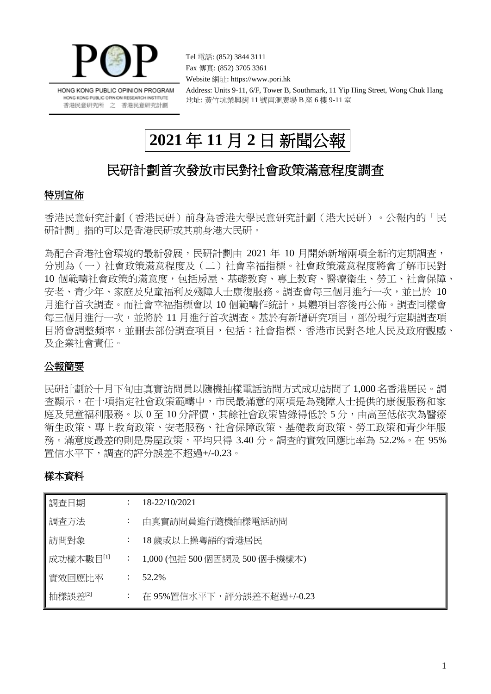

HONG KONG PUBLIC OPINION PROGRAM HONG KONG PUBLIC OPINION RESEARCH INSTITUTE 香港民意研究所 之 香港民意研究計劃

Fax 傳真: (852) 3705 3361 Website 網址: https://www.pori.hk Address: Units 9-11, 6/F, Tower B, Southmark, 11 Yip Hing Street, Wong Chuk Hang 地址: 黃竹坑業興街 11 號南滙廣場 B 座 6 樓 9-11 室

# **2021** 年 **11** 月 **2** 日 新聞公報

Tel 電話: (852) 3844 3111

# 民研計劃首次發放市民對社會政策滿意程度調查

## 特別宣佈

香港民意研究計劃(香港民研)前身為香港大學民意研究計劃(港大民研)。公報內的「民 研計劃」指的可以是香港民研或其前身港大民研。

為配合香港社會環境的最新發展,民研計劃由 2021 年 10 月開始新增兩項全新的定期調查, 分別為(一)社會政策滿意程度及(二)社會幸福指標。社會政策滿意程度將會了解市民對 10 個範疇社會政策的滿意度,包括房屋、基礎教育、專上教育、醫療衛生、勞工、社會保障、 安老、青少年、家庭及兒童福利及殘障人士康復服務。調查會每三個月進行一次,並已於 10 月進行首次調查。而社會幸福指標會以 10 個範疇作統計,具體項目容後再公佈。調查同樣會 每三個月進行一次,並將於 11 月進行首次調査。基於有新增研究項目,部份現行定期調査項 日將會調整頻率,並刪去部份調查項目,包括:社會指標、香港市民對各地人民及政府觀感、 及企業社會責任。

## 公報簡要

民研計劃於十月下旬由真實訪問員以隨機抽樣電話訪問方式成功訪問了 1,000 名香港居民。調 查顯示,在十項指定社會政策範疇中,市民最滿意的兩項是為殘障人士提供的康復服務和家 庭及兒童福利服務。以 0 至 10 分評價,其餘社會政策皆錄得低於 5 分,由高至低依次為醫療 衛生政策、專上教育政策、安老服務、社會保障政策、基礎教育政策、勞工政策和青少年服 務。滿意度最差的則是房屋政策,平均只得 3.40 分。調查的實效回應比率為 52.2%。在 95% 置信水平下,調查的評分誤差不超過+/-0.23。

## 樣本資料

| 調査日期      |                      | 18-22/10/2021                 |
|-----------|----------------------|-------------------------------|
| 調査方法      | $\ddot{\phantom{0}}$ | 由真實訪問員進行隨機抽樣電話訪問              |
| 訪問對象      | $\ddot{\cdot}$       | 18 歲或以上操粵語的香港居民               |
| 成功樣本數目[1] | $\ddot{\cdot}$       | 1,000 (包括 500 個固網及 500 個手機樣本) |
| 實效回應比率    | $\cdot$              | 52.2%                         |
| 抽樣誤差[2]   | $\bullet$            | 在 95%置信水平下,評分誤差不超過+/-0.23     |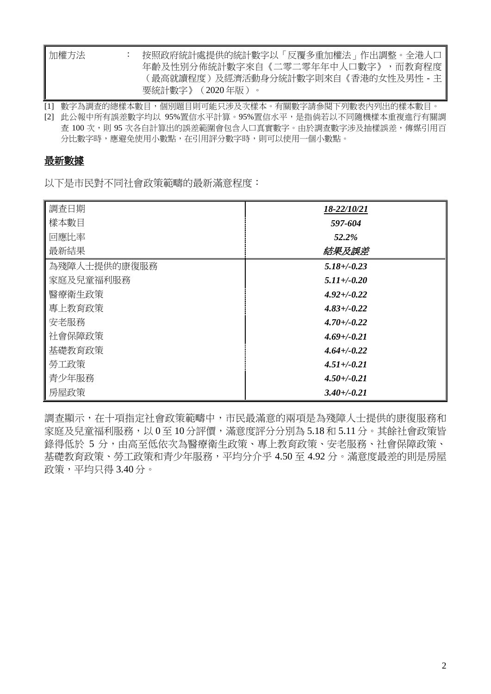| 加權方法 | 按照政府統計處提供的統計數字以「反覆多重加權法」作出調整。全港人口   |
|------|-------------------------------------|
|      | 年齡及性別分佈統計數字來自《二零二零年年中人口數字》,而教育程度    |
|      | (最高就讀程度)及經濟活動身分統計數字則來自《香港的女性及男性 - 主 |
|      | 要統計數字》(2020年版)。                     |

[1] 數字為調查的總樣本數目,個別題目則可能只涉及次樣本。有關數字請參閱下列數表內列出的樣本數目。

[2] 此公報中所有誤差數字均以 95%置信水平計算。95%置信水平,是指倘若以不同隨機樣本重複進行有關調 查 100 次,則 95 次各自計算出的誤差範圍會包含人口真實數字。由於調查數字涉及抽樣誤差,傳媒引用百 分比數字時,應避免使用小數點,在引用評分數字時,則可以使用一個小數點。

### 最新數據

以下是市民對不同社會政策範疇的最新滿意程度:

| 調查日期         | 18-22/10/21      |
|--------------|------------------|
| 樣本數目         | 597-604          |
| 回應比率         | 52.2%            |
| 最新結果         | 結果及誤差            |
| 為殘障人士提供的康復服務 | $5.18 + -0.23$   |
| 家庭及兒童福利服務    | $5.11 + (-0.20)$ |
| 醫療衛生政策       | $4.92 + (-0.22)$ |
| 專上教育政策       | $4.83 + (-0.22)$ |
| 安老服務         | $4.70 + (-0.22)$ |
| 社會保障政策       | $4.69 + (-0.21)$ |
| 基礎教育政策       | $4.64 + (-0.22)$ |
| 勞工政策         | $4.51 + (-0.21)$ |
| 青少年服務        | $4.50 + (-0.21)$ |
| 房屋政策         | $3.40 + (-0.21)$ |

調查顯示,在十項指定社會政策範疇中,市民最滿意的兩項是為殘障人士提供的康復服務和 家庭及兒童福利服務,以 0 至 10 分評價,滿意度評分分別為 5.18 和 5.11 分。其餘社會政策皆 錄得低於 5 分,由高至低依次為醫療衛生政策、專上教育政策、安老服務、社會保障政策、 基礎教育政策、勞工政策和青少年服務,平均分介乎 4.50 至 4.92 分。滿意度最差的則是房屋 政策,平均只得 3.40 分。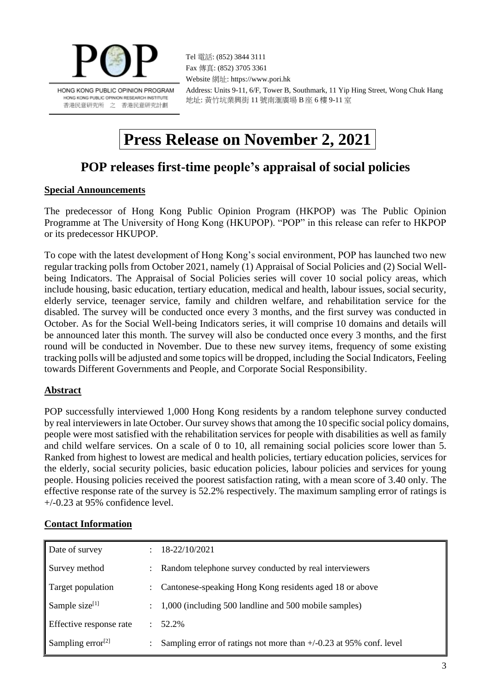

Tel 電話: (852) 3844 3111 Fax 傳真: (852) 3705 3361 Website 網址: https://www.pori.hk Address: Units 9-11, 6/F, Tower B, Southmark, 11 Yip Hing Street, Wong Chuk Hang 地址: 黃竹坑業興街 11 號南滙廣場 B 座 6 樓 9-11 室

# **Press Release on November 2, 2021**

# **POP releases first-time people's appraisal of social policies**

### **Special Announcements**

The predecessor of Hong Kong Public Opinion Program (HKPOP) was The Public Opinion Programme at The University of Hong Kong (HKUPOP). "POP" in this release can refer to HKPOP or its predecessor HKUPOP.

To cope with the latest development of Hong Kong's social environment, POP has launched two new regular tracking polls from October 2021, namely (1) Appraisal of Social Policies and (2) Social Wellbeing Indicators. The Appraisal of Social Policies series will cover 10 social policy areas, which include housing, basic education, tertiary education, medical and health, labour issues, social security, elderly service, teenager service, family and children welfare, and rehabilitation service for the disabled. The survey will be conducted once every 3 months, and the first survey was conducted in October. As for the Social Well-being Indicators series, it will comprise 10 domains and details will be announced later this month. The survey will also be conducted once every 3 months, and the first round will be conducted in November. Due to these new survey items, frequency of some existing tracking polls will be adjusted and some topics will be dropped, including the Social Indicators, Feeling towards Different Governments and People, and Corporate Social Responsibility.

### **Abstract**

POP successfully interviewed 1,000 Hong Kong residents by a random telephone survey conducted by real interviewers in late October. Our survey shows that among the 10 specific social policy domains, people were most satisfied with the rehabilitation services for people with disabilities as well as family and child welfare services. On a scale of 0 to 10, all remaining social policies score lower than 5. Ranked from highest to lowest are medical and health policies, tertiary education policies, services for the elderly, social security policies, basic education policies, labour policies and services for young people. Housing policies received the poorest satisfaction rating, with a mean score of 3.40 only. The effective response rate of the survey is 52.2% respectively. The maximum sampling error of ratings is +/-0.23 at 95% confidence level.

#### **Contact Information**

| Date of survey                |               | 18-22/10/2021                                                        |
|-------------------------------|---------------|----------------------------------------------------------------------|
| Survey method                 |               | Random telephone survey conducted by real interviewers               |
| Target population             | $\mathcal{L}$ | Cantonese-speaking Hong Kong residents aged 18 or above              |
| Sample size <sup>[1]</sup>    |               | 1,000 (including 500 landline and 500 mobile samples)                |
| Effective response rate       |               | 52.2%                                                                |
| Sampling error <sup>[2]</sup> |               | Sampling error of ratings not more than $+/-0.23$ at 95% conf. level |